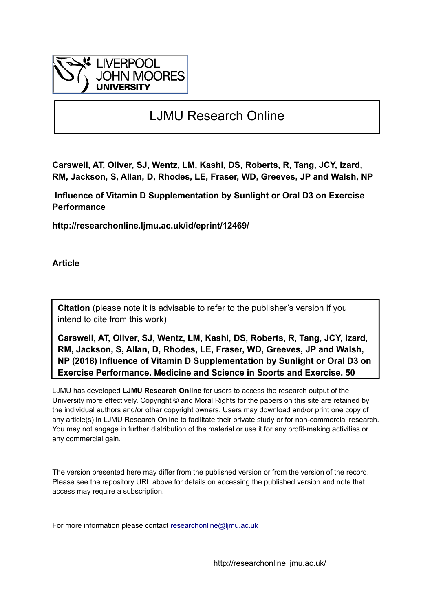

## LJMU Research Online

**Carswell, AT, Oliver, SJ, Wentz, LM, Kashi, DS, Roberts, R, Tang, JCY, Izard, RM, Jackson, S, Allan, D, Rhodes, LE, Fraser, WD, Greeves, JP and Walsh, NP**

 **Influence of Vitamin D Supplementation by Sunlight or Oral D3 on Exercise Performance**

**http://researchonline.ljmu.ac.uk/id/eprint/12469/**

**Article**

**Citation** (please note it is advisable to refer to the publisher's version if you intend to cite from this work)

**Carswell, AT, Oliver, SJ, Wentz, LM, Kashi, DS, Roberts, R, Tang, JCY, Izard, RM, Jackson, S, Allan, D, Rhodes, LE, Fraser, WD, Greeves, JP and Walsh, NP (2018) Influence of Vitamin D Supplementation by Sunlight or Oral D3 on Exercise Performance. Medicine and Science in Sports and Exercise, 50** 

LJMU has developed **[LJMU Research Online](http://researchonline.ljmu.ac.uk/)** for users to access the research output of the University more effectively. Copyright © and Moral Rights for the papers on this site are retained by the individual authors and/or other copyright owners. Users may download and/or print one copy of any article(s) in LJMU Research Online to facilitate their private study or for non-commercial research. You may not engage in further distribution of the material or use it for any profit-making activities or any commercial gain.

The version presented here may differ from the published version or from the version of the record. Please see the repository URL above for details on accessing the published version and note that access may require a subscription.

For more information please contact researchonline@limu.ac.uk

http://researchonline.ljmu.ac.uk/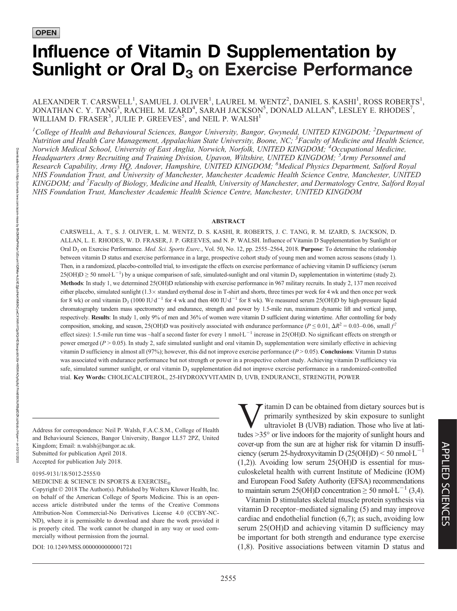# Influence of Vitamin D Supplementation by Sunlight or Oral  $D_3$  on Exercise Performance

ALEXANDER T. CARSWELL<sup>1</sup>, SAMUEL J. OLIVER<sup>1</sup>, LAUREL M. WENTZ<sup>2</sup>, DANIEL S. KASHI<sup>1</sup>, ROSS ROBERTS<sup>1</sup>, JONATHAN C. Y. TANG<sup>3</sup>, RACHEL M. IZARD<sup>4</sup>, SARAH JACKSON<sup>5</sup>, DONALD ALLAN<sup>6</sup>, LESLEY E. RHODES<sup>7</sup>, WILLIAM D. FRASER<sup>3</sup>, JULIE P. GREEVES<sup>5</sup>, and NEIL P. WALSH<sup>1</sup>

<sup>1</sup>College of Health and Behavioural Sciences, Bangor University, Bangor, Gwynedd, UNITED KINGDOM; <sup>2</sup>Department of Nutrition and Health Care Management, Appalachian State University, Boone, NC; <sup>3</sup>Faculty of Medicine and Health Science, Norwich Medical School, University of East Anglia, Norwich, Norfolk, UNITED KINGDOM; <sup>4</sup>Occupational Medicine, Headquarters Army Recruiting and Training Division, Upavon, Wiltshire, UNITED KINGDOM; <sup>5</sup>Army Personnel and Research Capability, Army HQ, Andover, Hampshire, UNITED KINGDOM; <sup>6</sup>Medical Physics Department, Salford Royal NHS Foundation Trust, and University of Manchester, Manchester Academic Health Science Centre, Manchester, UNITED KINGDOM; and <sup>7</sup>Faculty of Biology, Medicine and Health, University of Manchester, and Dermatology Centre, Salford Royal NHS Foundation Trust, Manchester Academic Health Science Centre, Manchester, UNITED KINGDOM

#### ABSTRACT

CARSWELL, A. T., S. J. OLIVER, L. M. WENTZ, D. S. KASHI, R. ROBERTS, J. C. TANG, R. M. IZARD, S. JACKSON, D. ALLAN, L. E. RHODES, W. D. FRASER, J. P. GREEVES, and N. P. WALSH. Influence of Vitamin D Supplementation by Sunlight or Oral D<sub>3</sub> on Exercise Performance. Med. Sci. Sports Exerc., Vol. 50, No. 12, pp. 2555–2564, 2018. Purpose: To determine the relationship between vitamin D status and exercise performance in a large, prospective cohort study of young men and women across seasons (study 1). Then, in a randomized, placebo-controlled trial, to investigate the effects on exercise performance of achieving vitamin D sufficiency (serum  $25(OH)D \ge 50$  nmol·L<sup>-1</sup>) by a unique comparison of safe, simulated-sunlight and oral vitamin D<sub>3</sub> supplementation in wintertime (study 2). Methods: In study 1, we determined 25(OH)D relationship with exercise performance in 967 military recruits. In study 2, 137 men received either placebo, simulated sunlight (1.3× standard erythemal dose in T-shirt and shorts, three times per week for 4 wk and then once per week for 8 wk) or oral vitamin  $D_3$  (1000 IU·d<sup>-1</sup> for 4 wk and then 400 IU·d<sup>-1</sup> for 8 wk). We measured serum 25(OH)D by high-pressure liquid chromatography tandem mass spectrometry and endurance, strength and power by 1.5-mile run, maximum dynamic lift and vertical jump, respectively. Results: In study 1, only 9% of men and 36% of women were vitamin D sufficient during wintertime. After controlling for body composition, smoking, and season, 25(OH)D was positively associated with endurance performance ( $P \le 0.01$ ,  $\Delta R^2 = 0.03 - 0.06$ , small  $f^2$ effect sizes): 1.5-mile run time was ~half a second faster for every 1 nmol $L^{-1}$  increase in 25(OH)D. No significant effects on strength or power emerged ( $P > 0.05$ ). In study 2, safe simulated sunlight and oral vitamin  $D_3$  supplementation were similarly effective in achieving vitamin D sufficiency in almost all (97%); however, this did not improve exercise performance ( $P > 0.05$ ). Conclusions: Vitamin D status was associated with endurance performance but not strength or power in a prospective cohort study. Achieving vitamin D sufficiency via safe, simulated summer sunlight, or oral vitamin  $D_3$  supplementation did not improve exercise performance in a randomized-controlled trial. Key Words: CHOLECALCIFEROL, 25-HYDROXYVITAMIN D, UVB, ENDURANCE, STRENGTH, POWER

Address for correspondence: Neil P. Walsh, F.A.C.S.M., College of Health and Behavioural Sciences, Bangor University, Bangor LL57 2PZ, United Kingdom; Email: n.walsh@bangor.ac.uk. Submitted for publication April 2018. Accepted for publication July 2018.

#### 0195-9131/18/5012-2555/0

MEDICINE & SCIENCE IN SPORTS & EXERCISE $_{\tiny \textcircled{\tiny \textcircled{\tiny 0}}}$ 

Copyright  $©$  2018 The Author(s). Published by Wolters Kluwer Health, Inc. on behalf of the American College of Sports Medicine. This is an openaccess article distributed under the terms of the [Creative Commons](http://creativecommons.org/licenses/by-nc-nd/4.0/) [Attribution-Non Commercial-No Derivatives License 4.0 \(CCBY-NC-](http://creativecommons.org/licenses/by-nc-nd/4.0/)[ND\)](http://creativecommons.org/licenses/by-nc-nd/4.0/), where it is permissible to download and share the work provided it is properly cited. The work cannot be changed in any way or used commercially without permission from the journal.

DOI: 10.1249/MSS.0000000000001721

itamin D can be obtained from dietary sources but is primarily synthesized by skin exposure to sunlight ultraviolet B (UVB) radiation. Those who live at latitudes  $>35^\circ$  or live indoors for the majority of sunlight hours and cover-up from the sun are at higher risk for vitamin D insufficiency (serum 25-hydroxyvitamin D  $(25(OH)D) \le 50$  nmol·L<sup>-1</sup> (1,2)). Avoiding low serum 25(OH)D is essential for musculoskeletal health with current Institute of Medicine (IOM) and European Food Safety Authority (EFSA) recommendations to maintain serum 25(OH)D concentration  $\geq$  50 nmol·L<sup>-1</sup> (3,4).

Vitamin D stimulates skeletal muscle protein synthesis via vitamin D receptor–mediated signaling (5) and may improve cardiac and endothelial function (6,7); as such, avoiding low serum 25(OH)D and achieving vitamin D sufficiency may be important for both strength and endurance type exercise (1,8). Positive associations between vitamin D status and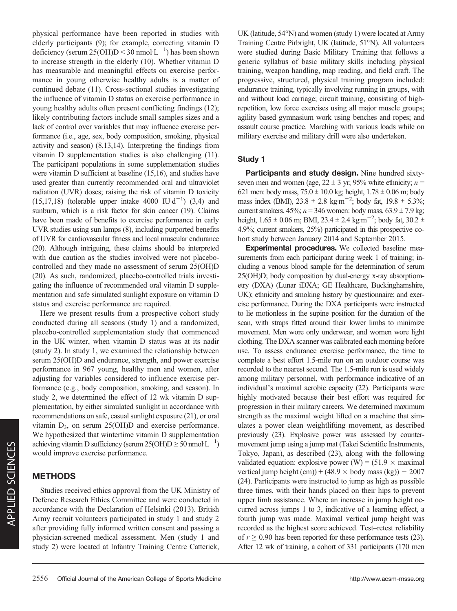physical performance have been reported in studies with elderly participants (9); for example, correcting vitamin D deficiency (serum 25(OH)D < 30 nmol L<sup>-1</sup>) has been shown to increase strength in the elderly (10). Whether vitamin D has measurable and meaningful effects on exercise performance in young otherwise healthy adults is a matter of continued debate (11). Cross-sectional studies investigating the influence of vitamin D status on exercise performance in young healthy adults often present conflicting findings (12); likely contributing factors include small samples sizes and a lack of control over variables that may influence exercise performance (i.e., age, sex, body composition, smoking, physical activity and season) (8,13,14). Interpreting the findings from vitamin D supplementation studies is also challenging (11). The participant populations in some supplementation studies were vitamin D sufficient at baseline (15,16), and studies have used greater than currently recommended oral and ultraviolet radiation (UVR) doses; raising the risk of vitamin D toxicity  $(15,17,18)$  (tolerable upper intake 4000 IU·d<sup>-1</sup>) (3,4) and sunburn, which is a risk factor for skin cancer (19). Claims have been made of benefits to exercise performance in early UVR studies using sun lamps (8), including purported benefits of UVR for cardiovascular fitness and local muscular endurance (20). Although intriguing, these claims should be interpreted with due caution as the studies involved were not placebocontrolled and they made no assessment of serum 25(OH)D (20). As such, randomized, placebo-controlled trials investigating the influence of recommended oral vitamin D supplementation and safe simulated sunlight exposure on vitamin D status and exercise performance are required.

Here we present results from a prospective cohort study conducted during all seasons (study 1) and a randomized, placebo-controlled supplementation study that commenced in the UK winter, when vitamin D status was at its nadir (study 2). In study 1, we examined the relationship between serum 25(OH)D and endurance, strength, and power exercise performance in 967 young, healthy men and women, after adjusting for variables considered to influence exercise performance (e.g., body composition, smoking, and season). In study 2, we determined the effect of 12 wk vitamin D supplementation, by either simulated sunlight in accordance with recommendations on safe, casual sunlight exposure (21), or oral vitamin  $D_3$ , on serum 25(OH)D and exercise performance. We hypothesized that wintertime vitamin D supplementation achieving vitamin D sufficiency (serum  $25(OH)D \ge 50$  nmol·L<sup>-1</sup>) would improve exercise performance.

## METHODS

Studies received ethics approval from the UK Ministry of Defence Research Ethics Committee and were conducted in accordance with the Declaration of Helsinki (2013). British Army recruit volunteers participated in study 1 and study 2 after providing fully informed written consent and passing a physician-screened medical assessment. Men (study 1 and study 2) were located at Infantry Training Centre Catterick,

2556 Official Journal of the American College of Sports Medicine http://www.acsm-msse.org

UK (latitude,  $54^{\circ}$ N) and women (study 1) were located at Army Training Centre Pirbright, UK (latitude, 51°N). All volunteers were studied during Basic Military Training that follows a generic syllabus of basic military skills including physical training, weapon handling, map reading, and field craft. The progressive, structured, physical training program included: endurance training, typically involving running in groups, with and without load carriage; circuit training, consisting of highrepetition, low force exercises using all major muscle groups; agility based gymnasium work using benches and ropes; and assault course practice. Marching with various loads while on military exercise and military drill were also undertaken.

## Study 1

Participants and study design. Nine hundred sixtyseven men and women (age,  $22 \pm 3$  yr; 95% white ethnicity;  $n =$ 621 men: body mass,  $75.0 \pm 10.0$  kg; height,  $1.78 \pm 0.06$  m; body mass index (BMI),  $23.8 \pm 2.8$  kgm<sup>-2</sup>; body fat,  $19.8 \pm 5.3\%$ ; current smokers,  $45\%$ ;  $n = 346$  women: body mass,  $63.9 \pm 7.9$  kg; height,  $1.65 \pm 0.06$  m; BMI,  $23.4 \pm 2.4$  kg·m<sup>-2</sup>; body fat,  $30.2 \pm$ 4.9%; current smokers, 25%) participated in this prospective cohort study between January 2014 and September 2015.

Experimental procedures. We collected baseline measurements from each participant during week 1 of training; including a venous blood sample for the determination of serum 25(OH)D; body composition by dual-energy x-ray absorptiometry (DXA) (Lunar iDXA; GE Healthcare, Buckinghamshire, UK); ethnicity and smoking history by questionnaire; and exercise performance. During the DXA participants were instructed to lie motionless in the supine position for the duration of the scan, with straps fitted around their lower limbs to minimize movement. Men wore only underwear, and women wore light clothing. The DXA scanner was calibrated each morning before use. To assess endurance exercise performance, the time to complete a best effort 1.5-mile run on an outdoor course was recorded to the nearest second. The 1.5-mile run is used widely among military personnel, with performance indicative of an individual's maximal aerobic capacity (22). Participants were highly motivated because their best effort was required for progression in their military careers. We determined maximum strength as the maximal weight lifted on a machine that simulates a power clean weightlifting movement, as described previously (23). Explosive power was assessed by countermovement jump using a jump mat (Takei Scientific Instruments, Tokyo, Japan), as described (23), along with the following validated equation: explosive power (W) =  $(51.9 \times$  maximal vertical jump height  $(cm)) + (48.9 \times$  body mass  $(kg)) = 2007$ (24). Participants were instructed to jump as high as possible three times, with their hands placed on their hips to prevent upper limb assistance. Where an increase in jump height occurred across jumps 1 to 3, indicative of a learning effect, a fourth jump was made. Maximal vertical jump height was recorded as the highest score achieved. Test–retest reliability of  $r \geq 0.90$  has been reported for these performance tests (23). After 12 wk of training, a cohort of 331 participants (170 men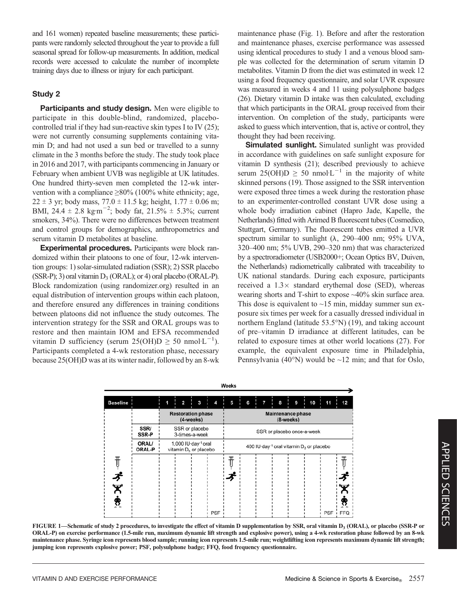and 161 women) repeated baseline measurements; these participants were randomly selected throughout the year to provide a full seasonal spread for follow-up measurements. In addition, medical records were accessed to calculate the number of incomplete training days due to illness or injury for each participant.

## Study 2

Participants and study design. Men were eligible to participate in this double-blind, randomized, placebocontrolled trial if they had sun-reactive skin types I to IV (25); were not currently consuming supplements containing vitamin D; and had not used a sun bed or travelled to a sunny climate in the 3 months before the study. The study took place in 2016 and 2017, with participants commencing in January or February when ambient UVB was negligible at UK latitudes. One hundred thirty-seven men completed the 12-wk intervention with a compliance  $\geq 80\%$  (100% white ethnicity; age,  $22 \pm 3$  yr; body mass,  $77.0 \pm 11.5$  kg; height,  $1.77 \pm 0.06$  m; BMI, 24.4  $\pm$  2.8 kg·m<sup>-2</sup>; body fat, 21.5%  $\pm$  5.3%; current smokers, 34%). There were no differences between treatment and control groups for demographics, anthropometrics and serum vitamin D metabolites at baseline.

Experimental procedures. Participants were block randomized within their platoons to one of four, 12-wk intervention groups: 1) solar-simulated radiation (SSR); 2) SSR placebo (SSR-P); 3) oral vitamin  $D_3$  (ORAL); or 4) oral placebo (ORAL-P). Block randomization (using [randomizer.org\)](http://randomizer.org) resulted in an equal distribution of intervention groups within each platoon, and therefore ensured any differences in training conditions between platoons did not influence the study outcomes. The intervention strategy for the SSR and ORAL groups was to restore and then maintain IOM and EFSA recommended vitamin D sufficiency (serum  $25(OHD \ge 50 \text{ nmol·L}^{-1})$ . Participants completed a 4-wk restoration phase, necessary because 25(OH)D was at its winter nadir, followed by an 8-wk maintenance phase (Fig. 1). Before and after the restoration and maintenance phases, exercise performance was assessed using identical procedures to study 1 and a venous blood sample was collected for the determination of serum vitamin D metabolites. Vitamin D from the diet was estimated in week 12 using a food frequency questionnaire, and solar UVR exposure was measured in weeks 4 and 11 using polysulphone badges (26). Dietary vitamin D intake was then calculated, excluding that which participants in the ORAL group received from their intervention. On completion of the study, participants were asked to guess which intervention, that is, active or control, they thought they had been receiving.

Simulated sunlight. Simulated sunlight was provided in accordance with guidelines on safe sunlight exposure for vitamin D synthesis (21); described previously to achieve serum 25(OH)D  $\geq$  50 nmol<sup>L</sup><sup>-1</sup> in the majority of white skinned persons (19). Those assigned to the SSR intervention were exposed three times a week during the restoration phase to an experimenter-controlled constant UVR dose using a whole body irradiation cabinet (Hapro Jade, Kapelle, the Netherlands) fitted with Arimed B fluorescent tubes (Cosmedico, Stuttgart, Germany). The fluorescent tubes emitted a UVR spectrum similar to sunlight  $(\lambda, 290-400)$  nm; 95% UVA, 320–400 nm; 5% UVB, 290–320 nm) that was characterized by a spectroradiometer (USB2000+; Ocean Optics BV, Duiven, the Netherlands) radiometrically calibrated with traceability to UK national standards. During each exposure, participants received a  $1.3\times$  standard erythemal dose (SED), whereas wearing shorts and T-shirt to expose ~40% skin surface area. This dose is equivalent to  $\sim$ 15 min, midday summer sun exposure six times per week for a casually dressed individual in northern England (latitude  $53.5^{\circ}$ N) (19), and taking account of pre–vitamin D irradiance at different latitudes, can be related to exposure times at other world locations (27). For example, the equivalent exposure time in Philadelphia, Pennsylvania (40°N) would be  $\sim$ 12 min; and that for Oslo,

|                 |                 |                                                                      |                         |   |                                                     | Weeks                      |   |  |   |                          |           |   |    |     |            |
|-----------------|-----------------|----------------------------------------------------------------------|-------------------------|---|-----------------------------------------------------|----------------------------|---|--|---|--------------------------|-----------|---|----|-----|------------|
| <b>Baseline</b> |                 |                                                                      | $\overline{\mathbf{2}}$ | 3 | 4                                                   | 5                          | 6 |  | 7 | 8                        |           | 9 | 10 | 11  | 12         |
|                 |                 | <b>Restoration phase</b><br>(4-weeks)                                |                         |   |                                                     |                            |   |  |   | <b>Maintenance phase</b> | (8-weeks) |   |    |     |            |
|                 | SSR/<br>SSR-P   | SSR or placebo<br>3-times-a-week                                     |                         |   |                                                     | SSR or placebo once-a-week |   |  |   |                          |           |   |    |     |            |
|                 | ORAL/<br>ORAL-P | 1,000 IU·day <sup>-1</sup> oral<br>vitamin D <sub>3</sub> or placebo |                         |   | 400 IU-day-1 oral vitamin D <sub>3</sub> or placebo |                            |   |  |   |                          |           |   |    |     |            |
|                 |                 |                                                                      |                         |   |                                                     |                            |   |  |   |                          |           |   |    |     |            |
|                 |                 |                                                                      |                         |   |                                                     |                            |   |  |   |                          |           |   |    |     |            |
|                 |                 |                                                                      |                         |   |                                                     |                            |   |  |   |                          |           |   |    |     |            |
|                 |                 |                                                                      |                         |   |                                                     |                            |   |  |   |                          |           |   |    |     |            |
|                 |                 |                                                                      |                         |   | <b>PSF</b>                                          |                            |   |  |   |                          |           |   |    | PSF | <b>FFQ</b> |

FIGURE 1—Schematic of study 2 procedures, to investigate the effect of vitamin D supplementation by SSR, oral vitamin D<sub>3</sub> (ORAL), or placebo (SSR-P or ORAL-P) on exercise performance (1.5-mile run, maximum dynamic lift strength and explosive power), using a 4-wk restoration phase followed by an 8-wk maintenance phase. Syringe icon represents blood sample; running icon represents 1.5-mile run; weightlifting icon represents maximum dynamic lift strength; jumping icon represents explosive power; PSF, polysulphone badge; FFQ, food frequency questionnaire.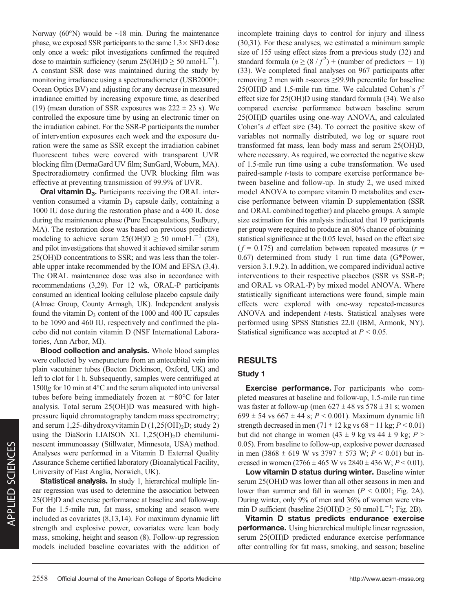Norway (60 $\textdegree$ N) would be ~18 min. During the maintenance phase, we exposed SSR participants to the same  $1.3 \times$  SED dose only once a week: pilot investigations confirmed the required dose to maintain sufficiency (serum  $25(OH)D \ge 50$  nmol $L^{-1}$ ). A constant SSR dose was maintained during the study by monitoring irradiance using a spectroradiometer (USB2000+; Ocean Optics BV) and adjusting for any decrease in measured irradiance emitted by increasing exposure time, as described (19) (mean duration of SSR exposures was  $222 \pm 23$  s). We controlled the exposure time by using an electronic timer on the irradiation cabinet. For the SSR-P participants the number of intervention exposures each week and the exposure duration were the same as SSR except the irradiation cabinet fluorescent tubes were covered with transparent UVR blocking film (DermaGard UV film; SunGard, Woburn, MA). Spectroradiometry confirmed the UVR blocking film was effective at preventing transmission of 99.9% of UVR.

Oral vitamin D<sub>3</sub>. Participants receiving the ORAL intervention consumed a vitamin  $D_3$  capsule daily, containing a 1000 IU dose during the restoration phase and a 400 IU dose during the maintenance phase (Pure Encapsulations, Sudbury, MA). The restoration dose was based on previous predictive modeling to achieve serum  $25(OH)D \ge 50$  nmol·L<sup>-1</sup> (28), and pilot investigations that showed it achieved similar serum 25(OH)D concentrations to SSR; and was less than the tolerable upper intake recommended by the IOM and EFSA (3,4). The ORAL maintenance dose was also in accordance with recommendations (3,29). For 12 wk, ORAL-P participants consumed an identical looking cellulose placebo capsule daily (Almac Group, County Armagh, UK). Independent analysis found the vitamin  $D_3$  content of the 1000 and 400 IU capsules to be 1090 and 460 IU, respectively and confirmed the placebo did not contain vitamin D (NSF International Laboratories, Ann Arbor, MI).

Blood collection and analysis. Whole blood samples were collected by venepuncture from an antecubital vein into plain vacutainer tubes (Becton Dickinson, Oxford, UK) and left to clot for 1 h. Subsequently, samples were centrifuged at 1500g for 10 min at  $4^{\circ}$ C and the serum aliquoted into universal tubes before being immediately frozen at  $-80^{\circ}$ C for later analysis. Total serum 25(OH)D was measured with highpressure liquid chromatography tandem mass spectrometry; and serum 1,25-dihydroxyvitamin D  $(1,25(OH)_2D)$ ; study 2) using the DiaSorin LIAISON XL  $1,25(OH)_2D$  chemiluminescent immunoassay (Stillwater, Minnesota, USA) method. Analyses were performed in a Vitamin D External Quality Assurance Scheme certified laboratory (Bioanalytical Facility, University of East Anglia, Norwich, UK).

Statistical analysis. In study 1, hierarchical multiple linear regression was used to determine the association between 25(OH)D and exercise performance at baseline and follow-up. For the 1.5-mile run, fat mass, smoking and season were included as covariates (8,13,14). For maximum dynamic lift strength and explosive power, covariates were lean body mass, smoking, height and season (8). Follow-up regression models included baseline covariates with the addition of incomplete training days to control for injury and illness (30,31). For these analyses, we estimated a minimum sample size of 155 using effect sizes from a previous study (32) and standard formula  $(n \ge (8 / f^2) + (number of predictors - 1))$ (33). We completed final analyses on 967 participants after removing 2 men with z-scores  $\geq$ 99.9th percentile for baseline 25(OH)D and 1.5-mile run time. We calculated Cohen's  $f^2$ effect size for 25(OH)D using standard formula (34). We also compared exercise performance between baseline serum 25(OH)D quartiles using one-way ANOVA, and calculated Cohen's  $d$  effect size (34). To correct the positive skew of variables not normally distributed, we log or square root transformed fat mass, lean body mass and serum 25(OH)D, where necessary. As required, we corrected the negative skew of 1.5-mile run time using a cube transformation. We used paired-sample t-tests to compare exercise performance between baseline and follow-up. In study 2, we used mixed model ANOVA to compare vitamin D metabolites and exercise performance between vitamin D supplementation (SSR and ORAL combined together) and placebo groups. A sample size estimation for this analysis indicated that 19 participants per group were required to produce an 80% chance of obtaining statistical significance at the 0.05 level, based on the effect size  $(f = 0.175)$  and correlation between repeated measures  $(r = 1.175)$ 0.67) determined from study 1 run time data (G\*Power, version 3.1.9.2). In addition, we compared individual active interventions to their respective placebos (SSR vs SSR-P; and ORAL vs ORAL-P) by mixed model ANOVA. Where statistically significant interactions were found, simple main effects were explored with one-way repeated-measures ANOVA and independent  $t$ -tests. Statistical analyses were performed using SPSS Statistics 22.0 (IBM, Armonk, NY). Statistical significance was accepted at  $P < 0.05$ .

## RESULTS

## Study 1

Exercise performance. For participants who completed measures at baseline and follow-up, 1.5-mile run time was faster at follow-up (men  $627 \pm 48$  vs  $578 \pm 31$  s; women 699  $\pm$  54 vs 667  $\pm$  44 s; P < 0.001). Maximum dynamic lift strength decreased in men (71  $\pm$  12 kg vs 68  $\pm$  11 kg;  $P < 0.01$ ) but did not change in women (43  $\pm$  9 kg vs 44  $\pm$  9 kg; P > 0.05). From baseline to follow-up, explosive power decreased in men (3868  $\pm$  619 W vs 3797  $\pm$  573 W; P < 0.01) but increased in women (2766  $\pm$  465 W vs 2840  $\pm$  436 W; P < 0.01).

Low vitamin D status during winter. Baseline winter serum 25(OH)D was lower than all other seasons in men and lower than summer and fall in women ( $P < 0.001$ ; Fig. 2A). During winter, only 9% of men and 36% of women were vitamin D sufficient (baseline 25(OH)D  $\geq$  50 nmol·L<sup>-1</sup>; Fig. 2B).

Vitamin D status predicts endurance exercise performance. Using hierarchical multiple linear regression, serum 25(OH)D predicted endurance exercise performance after controlling for fat mass, smoking, and season; baseline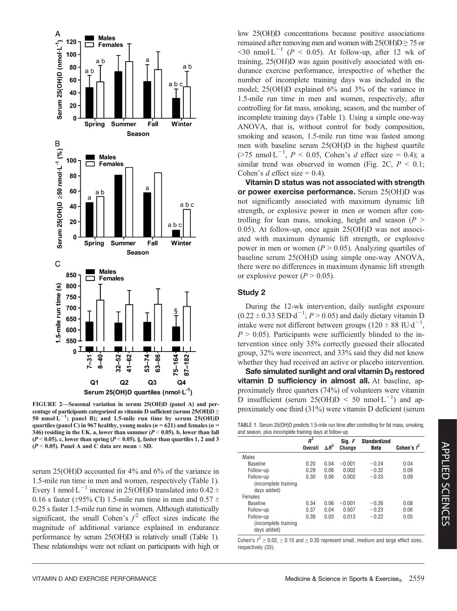

centage of participants categorized as vitamin D sufficient (serum  $25(OH)D \ge$ 50 nmol $L^{-1}$ ; panel B); and 1.5-mile run time by serum 25(OH)D quartiles (panel C) in 967 healthy, young males ( $n = 621$ ) and females ( $n =$ 346) residing in the UK. a, lower than summer ( $P < 0.05$ ). b, lower than fall ( $P < 0.05$ ). c, lower than spring ( $P < 0.05$ ). §, faster than quartiles 1, 2 and 3  $(P < 0.05)$ . Panel A and C data are mean  $\pm$  SD.

serum 25(OH)D accounted for 4% and 6% of the variance in 1.5-mile run time in men and women, respectively (Table 1). Every 1 nmol L<sup>-1</sup> increase in 25(OH)D translated into 0.42  $\pm$ 0.16 s faster ( $\pm$ 95% CI) 1.5-mile run time in men and 0.57  $\pm$ 0.25 s faster 1.5-mile run time in women. Although statistically significant, the small Cohen's  $f^2$  effect sizes indicate the magnitude of additional variance explained in endurance performance by serum 25(OH)D is relatively small (Table 1). These relationships were not reliant on participants with high or low 25(OH)D concentrations because positive associations remained after removing men and women with  $25(OH)D \ge 75$  or  $\leq$ 30 nmol·L<sup>-1</sup> (P  $\leq$  0.05). At follow-up, after 12 wk of training, 25(OH)D was again positively associated with endurance exercise performance, irrespective of whether the number of incomplete training days was included in the model; 25(OH)D explained 6% and 3% of the variance in 1.5-mile run time in men and women, respectively, after controlling for fat mass, smoking, season, and the number of incomplete training days (Table 1). Using a simple one-way ANOVA, that is, without control for body composition, smoking and season, 1.5-mile run time was fastest among men with baseline serum 25(OH)D in the highest quartile  $($ >75 nmol·L<sup>-1</sup>,  $P$  < 0.05, Cohen's d effect size = 0.4); a similar trend was observed in women (Fig. 2C,  $P < 0.1$ ; Cohen's d effect size =  $0.4$ ).

Vitamin D status was not associated with strength or power exercise performance. Serum 25(OH)D was not significantly associated with maximum dynamic lift strength, or explosive power in men or women after controlling for lean mass, smoking, height and season ( $P >$ 0.05). At follow-up, once again 25(OH)D was not associated with maximum dynamic lift strength, or explosive power in men or women ( $P > 0.05$ ). Analyzing quartiles of baseline serum 25(OH)D using simple one-way ANOVA, there were no differences in maximum dynamic lift strength or explosive power ( $P > 0.05$ ).

#### Study 2

During the 12-wk intervention, daily sunlight exposure  $(0.22 \pm 0.33$  SED d<sup>-1</sup>;  $P > 0.05$ ) and daily dietary vitamin D intake were not different between groups  $(120 \pm 88 \text{ IU} \cdot \text{d}^{-1})$ ,  $P > 0.05$ ). Participants were sufficiently blinded to the intervention since only 35% correctly guessed their allocated group, 32% were incorrect, and 33% said they did not know whether they had received an active or placebo intervention.

Safe simulated sunlight and oral vitamin  $D_3$  restored vitamin D sufficiency in almost all. At baseline, approximately three quarters (74%) of volunteers were vitamin D insufficient (serum  $25(OH)D < 50$  nmol·L<sup>-1</sup>) and ap-FIGURE 2—Seasonal variation in serum 25(OH)D (panel A) and per-<br>centage of participants categorized as vitamin D sufficient (serum 25(OH)D > proximately one third  $(31\%)$  were vitamin D deficient (serum

|                                                         |  |  |  | TABLE 1. Serum 25(OH)D predicts 1.5-mile run time after controlling for fat mass, smoking, |  |  |
|---------------------------------------------------------|--|--|--|--------------------------------------------------------------------------------------------|--|--|
| and season, plus incomplete training days at follow-up. |  |  |  |                                                                                            |  |  |

|                      | $R^2$          |              | Sig. F        | Standardized |               |
|----------------------|----------------|--------------|---------------|--------------|---------------|
|                      | <b>Overall</b> | $\Delta R^2$ | <b>Change</b> | <b>Beta</b>  | Cohen's $f^2$ |
| Males                |                |              |               |              |               |
| <b>Baseline</b>      | 0.20           | 0.04         | < 0.001       | $-0.24$      | 0.04          |
| Follow-up            | 0.29           | 0.06         | 0.002         | $-0.32$      | 0.09          |
| Follow-up            | 0.30           | 0.06         | 0.002         | $-0.33$      | 0.09          |
| (incomplete training |                |              |               |              |               |
| days added)          |                |              |               |              |               |
| Females              |                |              |               |              |               |
| <b>Baseline</b>      | 0.34           | 0.06         | < 0.001       | $-0.26$      | 0.08          |
| Follow-up            | 0.37           | 0.04         | 0.007         | $-0.23$      | 0.06          |
| Follow-up            | 0.39           | 0.03         | 0.013         | $-0.22$      | 0.05          |
| (incomplete training |                |              |               |              |               |
| davs added)          |                |              |               |              |               |

Cohen's  $f^2 \ge 0.02$ ,  $\ge 0.15$  and  $\ge 0.35$  represent small, medium and large effect sizes, respectively (33).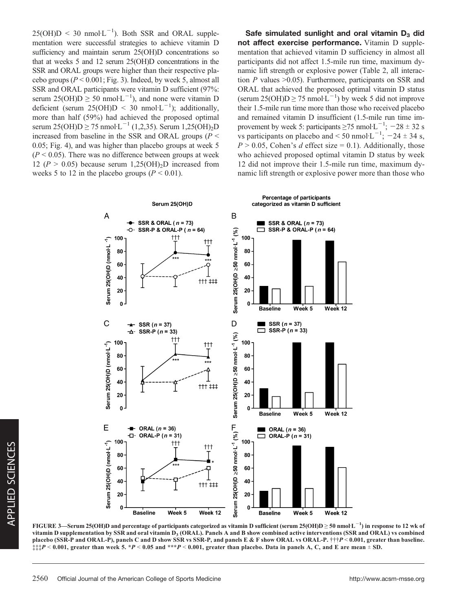$25(OH)D < 30$  nmol·L<sup>-1</sup>). Both SSR and ORAL supplementation were successful strategies to achieve vitamin D sufficiency and maintain serum 25(OH)D concentrations so that at weeks 5 and 12 serum 25(OH)D concentrations in the SSR and ORAL groups were higher than their respective placebo groups ( $P < 0.001$ ; Fig. 3). Indeed, by week 5, almost all SSR and ORAL participants were vitamin D sufficient (97%: serum  $25(OH)D \geq 50$  nmol $L^{-1}$ ), and none were vitamin D deficient (serum 25(OH)D < 30 nmol·L<sup>-1</sup>); additionally, more than half (59%) had achieved the proposed optimal serum 25(OH)D  $\geq$  75 nmol·L<sup>-1</sup> (1,2,35). Serum 1,25(OH)<sub>2</sub>D increased from baseline in the SSR and ORAL groups ( $P \leq$ 0.05; Fig. 4), and was higher than placebo groups at week 5  $(P < 0.05)$ . There was no difference between groups at week 12 ( $P > 0.05$ ) because serum 1,25(OH)<sub>2</sub>D increased from weeks 5 to 12 in the placebo groups ( $P < 0.01$ ).

Safe simulated sunlight and oral vitamin  $D_3$  did not affect exercise performance. Vitamin D supplementation that achieved vitamin D sufficiency in almost all participants did not affect 1.5-mile run time, maximum dynamic lift strength or explosive power (Table 2, all interaction  $P$  values  $>0.05$ ). Furthermore, participants on SSR and ORAL that achieved the proposed optimal vitamin D status (serum  $25(OH)D \ge 75$  nmol $L^{-1}$ ) by week 5 did not improve their 1.5-mile run time more than those who received placebo and remained vitamin D insufficient (1.5-mile run time improvement by week 5: participants  $\geq 75$  nmol·L<sup>-1</sup>; -28  $\pm$  32 s vs participants on placebo and < 50 nmol $\cdot$ L<sup>-1</sup>; -24  $\pm$  34 s,  $P > 0.05$ , Cohen's d effect size = 0.1). Additionally, those who achieved proposed optimal vitamin D status by week 12 did not improve their 1.5-mile run time, maximum dynamic lift strength or explosive power more than those who



FIGURE 3—Serum 25(OH)D and percentage of participants categorized as vitamin D sufficient (serum 25(OH)D  $\geq$  50 nmol L  $^{-1}$ ) in response to 12 wk of vitamin D supplementation by SSR and oral vitamin D<sub>3</sub> (ORAL). Panels A and B show combined active interventions (SSR and ORAL) vs combined placebo (SSR-P and ORAL-P), panels C and D show SSR vs SSR-P, and panels E & F show ORAL vs ORAL-P.  $\dagger\dagger\dagger P < 0.001$ , greater than baseline.  $\ddagger \ddagger \ddagger P < 0.001$ , greater than week 5. \*P < 0.05 and \*\*\*P < 0.001, greater than placebo. Data in panels A, C, and E are mean  $\pm$  SD.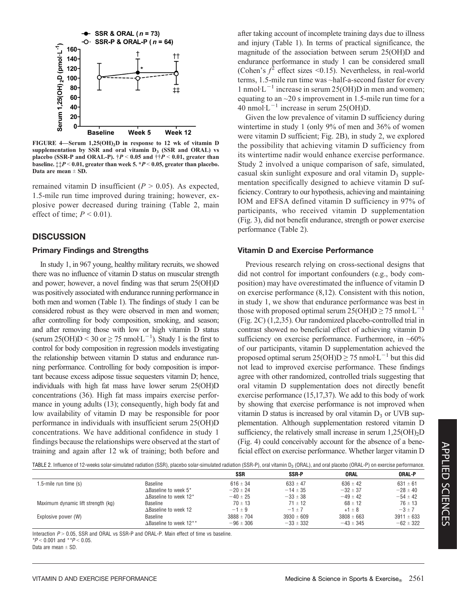

FIGURE 4—Serum 1,25(OH)2D in response to 12 wk of vitamin D supplementation by SSR and oral vitamin  $D_3$  (SSR and ORAL) vs placebo (SSR-P and ORAL-P).  $\dagger P < 0.05$  and  $\dagger \dagger P < 0.01$ , greater than baseline.  $\ddagger + P < 0.01$ , greater than week 5.  $\dot{P} < 0.05$ , greater than placebo. Data are mean  $\pm$  SD.

remained vitamin D insufficient ( $P > 0.05$ ). As expected, 1.5-mile run time improved during training; however, explosive power decreased during training (Table 2, main effect of time;  $P < 0.01$ ).

## **DISCUSSION**

#### Primary Findings and Strengths

In study 1, in 967 young, healthy military recruits, we showed there was no influence of vitamin D status on muscular strength and power; however, a novel finding was that serum 25(OH)D was positively associated with endurance running performance in both men and women (Table 1). The findings of study 1 can be considered robust as they were observed in men and women; after controlling for body composition, smoking, and season; and after removing those with low or high vitamin D status (serum 25(OH)D  $\leq$  30 or  $\geq$  75 nmol·L<sup>-1</sup>). Study 1 is the first to control for body composition in regression models investigating the relationship between vitamin D status and endurance running performance. Controlling for body composition is important because excess adipose tissue sequesters vitamin D; hence, individuals with high fat mass have lower serum 25(OH)D concentrations (36). High fat mass impairs exercise performance in young adults (13); consequently, high body fat and low availability of vitamin D may be responsible for poor performance in individuals with insufficient serum 25(OH)D concentrations. We have additional confidence in study 1 findings because the relationships were observed at the start of training and again after 12 wk of training; both before and after taking account of incomplete training days due to illness and injury (Table 1). In terms of practical significance, the magnitude of the association between serum 25(OH)D and endurance performance in study 1 can be considered small (Cohen's  $f^2$  effect sizes <0.15). Nevertheless, in real-world terms, 1.5-mile run time was ~half-a-second faster for every 1 nmol·L<sup> $-1$ </sup> increase in serum 25(OH)D in men and women; equating to an ~20 s improvement in 1.5-mile run time for a 40 nmol·L<sup> $-1$ </sup> increase in serum 25(OH)D.

Given the low prevalence of vitamin D sufficiency during wintertime in study 1 (only 9% of men and 36% of women were vitamin D sufficient; Fig. 2B), in study 2, we explored the possibility that achieving vitamin D sufficiency from its wintertime nadir would enhance exercise performance. Study 2 involved a unique comparison of safe, simulated, casual skin sunlight exposure and oral vitamin  $D_3$  supplementation specifically designed to achieve vitamin D sufficiency. Contrary to our hypothesis, achieving and maintaining IOM and EFSA defined vitamin D sufficiency in 97% of participants, who received vitamin D supplementation (Fig. 3), did not benefit endurance, strength or power exercise performance (Table 2).

#### Vitamin D and Exercise Performance

Previous research relying on cross-sectional designs that did not control for important confounders (e.g., body composition) may have overestimated the influence of vitamin D on exercise performance (8,12). Consistent with this notion, in study 1, we show that endurance performance was best in those with proposed optimal serum  $25(OH)D \ge 75$  nmol $L^{-1}$ (Fig. 2C) (1,2,35). Our randomized placebo-controlled trial in contrast showed no beneficial effect of achieving vitamin D sufficiency on exercise performance. Furthermore, in  $~60\%$ of our participants, vitamin D supplementation achieved the proposed optimal serum  $25(OH)D \ge 75$  nmol $L^{-1}$  but this did not lead to improved exercise performance. These findings agree with other randomized, controlled trials suggesting that oral vitamin D supplementation does not directly benefit exercise performance (15,17,37). We add to this body of work by showing that exercise performance is not improved when vitamin D status is increased by oral vitamin  $D_3$  or UVB supplementation. Although supplementation restored vitamin D sufficiency, the relatively small increase in serum  $1,25(OH)<sub>2</sub>D$ (Fig. 4) could conceivably account for the absence of a beneficial effect on exercise performance. Whether larger vitamin D

| TABLE 2. Influence of 12-weeks solar-simulated radiation (SSR), placebo solar-simulated radiation (SSR-P), oral vitamin D <sub>3</sub> (ORAL), and oral placebo (ORAL-P) on exercise performance. |  |  |  |
|---------------------------------------------------------------------------------------------------------------------------------------------------------------------------------------------------|--|--|--|
|---------------------------------------------------------------------------------------------------------------------------------------------------------------------------------------------------|--|--|--|

|                                   | <b>SSR</b>     | <b>SSR-P</b>   | ORAL           | <b>ORAL-P</b>  |
|-----------------------------------|----------------|----------------|----------------|----------------|
| Baseline                          | 616 $\pm$ 34   | $633 \pm 47$   | $636 \pm 42$   | $631 \pm 61$   |
| $\triangle$ Baseline to week 5*   | $-20 \pm 24$   | $-14 \pm 35$   | $-32 \pm 37$   | $-28 \pm 40$   |
| $\triangle$ Baseline to week 12*  | $-40 \pm 25$   | $-33 \pm 38$   | $-49 \pm 42$   | $-54 \pm 42$   |
| Baseline                          | $70 \pm 13$    | $71 \pm 12$    | $68 \pm 12$    | $76 \pm 13$    |
| $\Delta$ Baseline to week 12      | $-1 \pm 9$     | $-1+7$         | $+1 \pm 8$     | $-3 \pm 7$     |
| Baseline                          | $3888 \pm 704$ | $3930 \pm 609$ | $3808 \pm 663$ | $3911 \pm 633$ |
| $\triangle$ Baseline to week 12** | $-96 \pm 306$  | $-33 \pm 332$  | $-43 \pm 345$  | $-62 \pm 322$  |
|                                   |                |                |                |                |

Interaction  $P > 0.05$ , SSR and ORAL vs SSR-P and ORAL-P. Main effect of time vs baseline. \* $P < 0.001$  and \*\* $P < 0.05$ .

Data are mean  $\pm$  SD.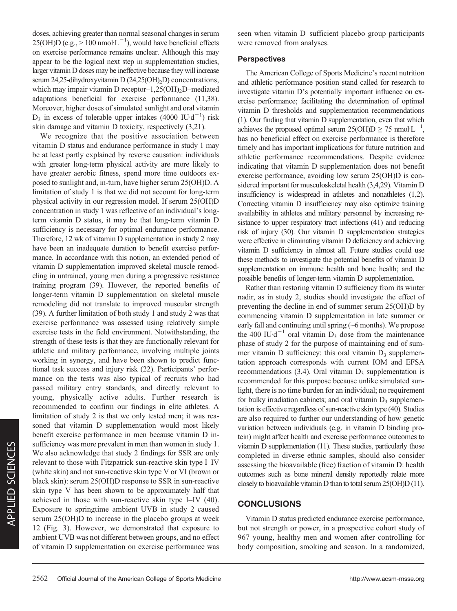skin damage and vitamin D toxicity, respectively (3,21). We recognize that the positive association between vitamin D status and endurance performance in study 1 may be at least partly explained by reverse causation: individuals with greater long-term physical activity are more likely to have greater aerobic fitness, spend more time outdoors exposed to sunlight and, in-turn, have higher serum 25(OH)D. A limitation of study 1 is that we did not account for long-term

doses, achieving greater than normal seasonal changes in serum  $25(OH)D$  (e.g.,  $> 100$  nmol·L<sup>-1</sup>), would have beneficial effects on exercise performance remains unclear. Although this may appear to be the logical next step in supplementation studies, larger vitamin D doses may be ineffective because they will increase serum 24,25-dihydroxyvitamin D (24,25(OH)<sub>2</sub>D) concentrations, which may impair vitamin D receptor– $1,25(OH)_2D$ –mediated adaptations beneficial for exercise performance (11,38). Moreover, higher doses of simulated sunlight and oral vitamin  $D_3$  in excess of tolerable upper intakes (4000 IU·d<sup>-1</sup>) risk

physical activity in our regression model. If serum 25(OH)D concentration in study 1 was reflective of an individual's longterm vitamin D status, it may be that long-term vitamin D sufficiency is necessary for optimal endurance performance. Therefore, 12 wk of vitamin D supplementation in study 2 may have been an inadequate duration to benefit exercise performance. In accordance with this notion, an extended period of vitamin D supplementation improved skeletal muscle remodeling in untrained, young men during a progressive resistance training program (39). However, the reported benefits of longer-term vitamin D supplementation on skeletal muscle remodeling did not translate to improved muscular strength (39). A further limitation of both study 1 and study 2 was that exercise performance was assessed using relatively simple exercise tests in the field environment. Notwithstanding, the strength of these tests is that they are functionally relevant for athletic and military performance, involving multiple joints working in synergy, and have been shown to predict functional task success and injury risk (22). Participants' performance on the tests was also typical of recruits who had passed military entry standards, and directly relevant to young, physically active adults. Further research is recommended to confirm our findings in elite athletes. A limitation of study 2 is that we only tested men; it was reasoned that vitamin D supplementation would most likely benefit exercise performance in men because vitamin D insufficiency was more prevalent in men than women in study 1. We also acknowledge that study 2 findings for SSR are only relevant to those with Fitzpatrick sun-reactive skin type I–IV (white skin) and not sun-reactive skin type V or VI (brown or black skin): serum 25(OH)D response to SSR in sun-reactive skin type V has been shown to be approximately half that achieved in those with sun-reactive skin type I–IV (40). Exposure to springtime ambient UVB in study 2 caused serum 25(OH)D to increase in the placebo groups at week 12 (Fig. 3). However, we demonstrated that exposure to ambient UVB was not different between groups, and no effect of vitamin D supplementation on exercise performance was

seen when vitamin D–sufficient placebo group participants were removed from analyses.

## **Perspectives**

The American College of Sports Medicine's recent nutrition and athletic performance position stand called for research to investigate vitamin D's potentially important influence on exercise performance; facilitating the determination of optimal vitamin D thresholds and supplementation recommendations (1). Our finding that vitamin D supplementation, even that which achieves the proposed optimal serum  $25(OH)D \ge 75$  nmol $L^{-1}$ , has no beneficial effect on exercise performance is therefore timely and has important implications for future nutrition and athletic performance recommendations. Despite evidence indicating that vitamin D supplementation does not benefit exercise performance, avoiding low serum 25(OH)D is considered important for musculoskeletal health (3,4,29). Vitamin D insufficiency is widespread in athletes and nonathletes (1,2). Correcting vitamin D insufficiency may also optimize training availability in athletes and military personnel by increasing resistance to upper respiratory tract infections (41) and reducing risk of injury (30). Our vitamin D supplementation strategies were effective in eliminating vitamin D deficiency and achieving vitamin D sufficiency in almost all. Future studies could use these methods to investigate the potential benefits of vitamin D supplementation on immune health and bone health; and the possible benefits of longer-term vitamin D supplementation.

Rather than restoring vitamin D sufficiency from its winter nadir, as in study 2, studies should investigate the effect of preventing the decline in end of summer serum 25(OH)D by commencing vitamin D supplementation in late summer or early fall and continuing until spring (~6 months). We propose the 400 IU·d<sup>-1</sup> oral vitamin D<sub>3</sub> dose from the maintenance phase of study 2 for the purpose of maintaining end of summer vitamin  $D$  sufficiency: this oral vitamin  $D_3$  supplementation approach corresponds with current IOM and EFSA recommendations  $(3,4)$ . Oral vitamin  $D_3$  supplementation is recommended for this purpose because unlike simulated sunlight, there is no time burden for an individual; no requirement for bulky irradiation cabinets; and oral vitamin  $D_3$  supplementation is effective regardless of sun-reactive skin type (40). Studies are also required to further our understanding of how genetic variation between individuals (e.g. in vitamin D binding protein) might affect health and exercise performance outcomes to vitamin D supplementation (11). These studies, particularly those completed in diverse ethnic samples, should also consider assessing the bioavailable (free) fraction of vitamin D: health outcomes such as bone mineral density reportedly relate more closely to bioavailable vitamin D than to total serum 25(OH)D (11).

## **CONCLUSIONS**

Vitamin D status predicted endurance exercise performance, but not strength or power, in a prospective cohort study of 967 young, healthy men and women after controlling for body composition, smoking and season. In a randomized,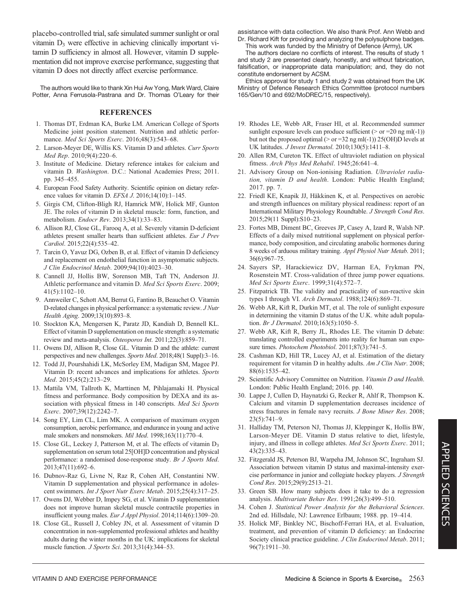placebo-controlled trial, safe simulated summer sunlight or oral vitamin D<sub>3</sub> were effective in achieving clinically important vitamin D sufficiency in almost all. However, vitamin D supplementation did not improve exercise performance, suggesting that vitamin D does not directly affect exercise performance.

The authors would like to thank Xin Hui Aw Yong, Mark Ward, Claire Potter, Anna Ferrusola-Pastrana and Dr. Thomas O'Leary for their

#### **REFERENCES**

- 1. Thomas DT, Erdman KA, Burke LM. American College of Sports Medicine joint position statement. Nutrition and athletic performance. Med Sci Sports Exerc. 2016;48(3):543–68.
- 2. Larson-Meyer DE, Willis KS. Vitamin D and athletes. Curr Sports Med Rep. 2010;9(4):220–6.
- 3. Institute of Medicine. Dietary reference intakes for calcium and vitamin D. Washington. D.C.: National Academies Press; 2011. pp. 345–455.
- 4. European Food Safety Authority. Scientific opinion on dietary reference values for vitamin D. EFSA J. 2016;14(10):1–145.
- 5. Girgis CM, Clifton-Bligh RJ, Hamrick MW, Holick MF, Gunton JE. The roles of vitamin D in skeletal muscle: form, function, and metabolism. Endocr Rev. 2013;34(1):33–83.
- 6. Allison RJ, Close GL, Farooq A, et al. Severely vitamin D-deficient athletes present smaller hearts than sufficient athletes. Eur J Prev Cardiol. 2015;22(4):535–42.
- 7. Tarcin O, Yavuz DG, Ozben B, et al. Effect of vitamin D deficiency and replacement on endothelial function in asymptomatic subjects. J Clin Endocrinol Metab. 2009;94(10):4023–30.
- 8. Cannell JJ, Hollis BW, Sorenson MB, Taft TN, Anderson JJ. Athletic performance and vitamin D. Med Sci Sports Exerc. 2009;  $41(5):1102-10.$
- 9. Annweiler C, Schott AM, Berrut G, Fantino B, Beauchet O. Vitamin D-related changes in physical performance: a systematic review. J Nutr Health Aging. 2009;13(10):893–8.
- 10. Stockton KA, Mengersen K, Paratz JD, Kandiah D, Bennell KL. Effect of vitamin D supplementation on muscle strength: a systematic review and meta-analysis. Osteoporos Int. 2011;22(3):859-71.
- 11. Owens DJ, Allison R, Close GL. Vitamin D and the athlete: current perspectives and new challenges. Sports Med. 2018;48(1 Suppl):3–16.
- 12. Todd JJ, Pourshahidi LK, McSorley EM, Madigan SM, Magee PJ. Vitamin D: recent advances and implications for athletes. Sports Med. 2015;45(2):213–29.
- 13. Mattila VM, Tallroth K, Marttinen M, Pihlajamaki H. Physical fitness and performance. Body composition by DEXA and its association with physical fitness in 140 conscripts. Med Sci Sports Exerc. 2007;39(12):2242–7.
- 14. Song EY, Lim CL, Lim MK. A comparison of maximum oxygen consumption, aerobic performance, and endurance in young and active male smokers and nonsmokers. Mil Med. 1998;163(11):770–4.
- 15. Close GL, Leckey J, Patterson M, et al. The effects of vitamin  $D_3$ supplementation on serum total 25[OH]D concentration and physical performance: a randomised dose-response study. Br J Sports Med. 2013;47(11):692–6.
- 16. Dubnov-Raz G, Livne N, Raz R, Cohen AH, Constantini NW. Vitamin D supplementation and physical performance in adolescent swimmers. Int J Sport Nutr Exerc Metab. 2015;25(4):317-25.
- 17. Owens DJ, Webber D, Impey SG, et al. Vitamin D supplementation does not improve human skeletal muscle contractile properties in insufficient young males. Eur J Appl Physiol. 2014;114(6):1309–20.
- 18. Close GL, Russell J, Cobley JN, et al. Assessment of vitamin D concentration in non-supplemented professional athletes and healthy adults during the winter months in the UK: implications for skeletal muscle function. J Sports Sci. 2013;31(4):344–53.

assistance with data collection. We also thank Prof. Ann Webb and Dr. Richard Kift for providing and analyzing the polysulphone badges.

This work was funded by the Ministry of Defence (Army), UK

The authors declare no conflicts of interest. The results of study 1 and study 2 are presented clearly, honestly, and without fabrication, falsification, or inappropriate data manipulation; and, they do not constitute endorsement by ACSM.

Ethics approval for study 1 and study 2 was obtained from the UK Ministry of Defence Research Ethics Committee (protocol numbers 165/Gen/10 and 692/MoDREC/15, respectively).

- 19. Rhodes LE, Webb AR, Fraser HI, et al. Recommended summer sunlight exposure levels can produce sufficient ( $>$  or =20 ng ml(-1)) but not the proposed optimal ( $>$  or =32 ng ml(-1)) 25(OH)D levels at UK latitudes. J Invest Dermatol. 2010;130(5):1411–8.
- 20. Allen RM, Cureton TK. Effect of ultraviolet radiation on physical fitness. Arch Phys Med Rehabil. 1945;26:641–4.
- 21. Advisory Group on Non-ionising Radiation. Ultraviolet radiation, vitamin D and health. London: Public Health England; 2017. pp. 7.
- 22. Friedl KE, Knapik JJ, Häkkinen K, et al. Perspectives on aerobic and strength influences on military physical readiness: report of an International Military Physiology Roundtable. J Strength Cond Res. 2015;29(11 Suppl):S10–23.
- 23. Fortes MB, Diment BC, Greeves JP, Casey A, Izard R, Walsh NP. Effects of a daily mixed nutritional supplement on physical performance, body composition, and circulating anabolic hormones during 8 weeks of arduous military training. Appl Physiol Nutr Metab. 2011; 36(6):967–75.
- 24. Sayers SP, Harackiewicz DV, Harman EA, Frykman PN, Rosenstein MT. Cross-validation of three jump power equations. Med Sci Sports Exerc. 1999;31(4):572–7.
- 25. Fitzpatrick TB. The validity and practicality of sun-reactive skin types I through VI. Arch Dermatol. 1988;124(6):869–71.
- 26. Webb AR, Kift R, Durkin MT, et al. The role of sunlight exposure in determining the vitamin D status of the U.K. white adult population. Br J Dermatol. 2010;163(5):1050–5.
- 27. Webb AR, Kift R, Berry JL, Rhodes LE. The vitamin D debate: translating controlled experiments into reality for human sun exposure times. Photochem Photobiol. 2011;87(3):741-5.
- 28. Cashman KD, Hill TR, Lucey AJ, et al. Estimation of the dietary requirement for vitamin D in healthy adults. Am J Clin Nutr. 2008; 88(6):1535–42.
- 29. Scientific Advisory Committee on Nutrition. Vitamin D and Health. London: Public Health England; 2016. pp. 140.
- 30. Lappe J, Cullen D, Haynatzki G, Recker R, Ahlf R, Thompson K. Calcium and vitamin D supplementation decreases incidence of stress fractures in female navy recruits. *J Bone Miner Res.* 2008; 23(5):741–9.
- 31. Halliday TM, Peterson NJ, Thomas JJ, Kleppinger K, Hollis BW, Larson-Meyer DE. Vitamin D status relative to diet, lifestyle, injury, and illness in college athletes. Med Sci Sports Exerc. 2011; 43(2):335–43.
- 32. Fitzgerald JS, Peterson BJ, Warpeha JM, Johnson SC, Ingraham SJ. Association between vitamin D status and maximal-intensity exercise performance in junior and collegiate hockey players. J Strength Cond Res. 2015;29(9):2513–21.
- 33. Green SB. How many subjects does it take to do a regression analysis. Multivariate Behav Res. 1991;26(3):499–510.
- 34. Cohen J. Statistical Power Analysis for the Behavioral Sciences. 2nd ed. Hillsdale, NJ: Lawrence Erlbaum; 1988. pp. 19–414.
- 35. Holick MF, Binkley NC, Bischoff-Ferrari HA, et al. Evaluation, treatment, and prevention of vitamin D deficiency: an Endocrine Society clinical practice guideline. J Clin Endocrinol Metab. 2011; 96(7):1911–30.